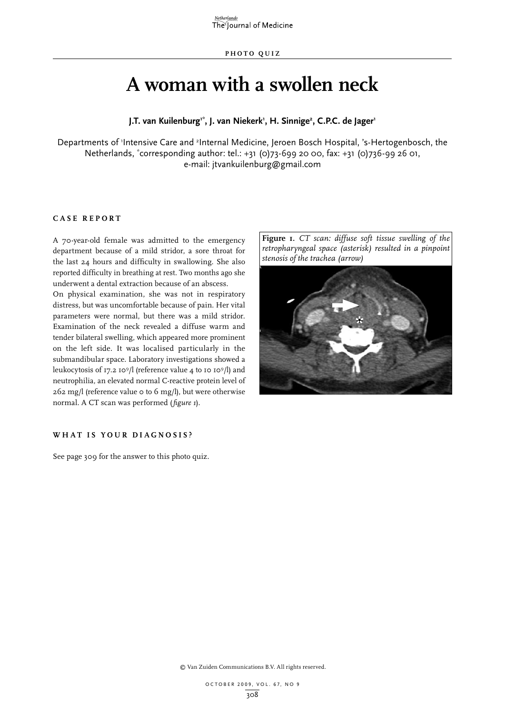# **A woman with a swollen neck**

**J.T. van Kuilenburg1\*, J. van Niekerk1 , H. Sinnige2 , C.P.C. de Jager1**

Departments of 'Intensive Care and <sup>2</sup>Internal Medicine, Jeroen Bosch Hospital, 's-Hertogenbosch, the Netherlands, \* corresponding author: tel.: +31 (0)73-699 20 00, fax: +31 (0)736-99 26 01, e-mail: jtvankuilenburg@gmail.com

## **Case report**

A 70-year-old female was admitted to the emergency department because of a mild stridor, a sore throat for the last 24 hours and difficulty in swallowing. She also reported difficulty in breathing at rest. Two months ago she underwent a dental extraction because of an abscess.

On physical examination, she was not in respiratory distress, but was uncomfortable because of pain. Her vital parameters were normal, but there was a mild stridor. Examination of the neck revealed a diffuse warm and tender bilateral swelling, which appeared more prominent on the left side. It was localised particularly in the submandibular space. Laboratory investigations showed a leukocytosis of 17.2 109/l (reference value 4 to 10 109/l) and neutrophilia, an elevated normal C-reactive protein level of 262 mg/l (reference value 0 to 6 mg/l), but were otherwise normal. A CT scan was performed (*figure 1*).

**Figure 1.** *CT scan: diffuse soft tissue swelling of the retropharyngeal space (asterisk) resulted in a pinpoint stenosis of the trachea (arrow)*



## WHAT IS YOUR DIAGNOSIS?

See page 309 for the answer to this photo quiz.